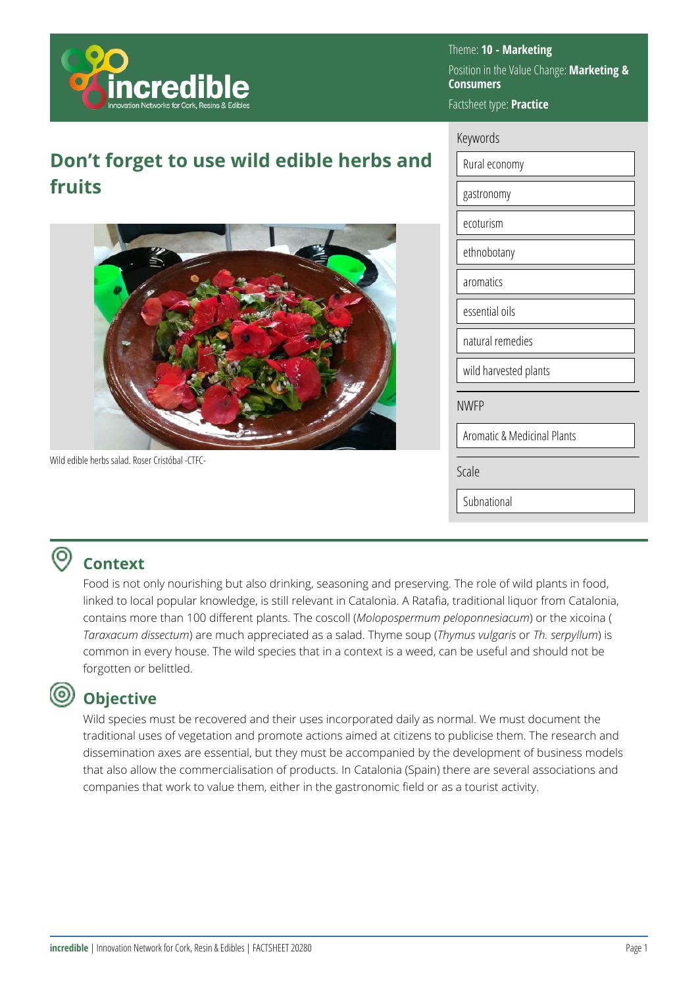

**Don't forget to use wild edible herbs and fruits**



Wild edible herbs salad. Roser Cristóbal -CTFC-

Theme: **10 - Marketing**  Position in the Value Change: **Marketing & Consumers**  Factsheet type: **Practice** 

### Keywords

| Rural economy                          |
|----------------------------------------|
| gastronomy                             |
| ecoturism                              |
| ethnobotany                            |
| aromatics                              |
| essential oils                         |
| natural remedies                       |
| wild harvested plants                  |
| <b>NWFP</b>                            |
| <b>Aromatic &amp; Medicinal Plants</b> |
| Scale                                  |
| Subnational                            |

# **Context**

Food is not only nourishing but also drinking, seasoning and preserving. The role of wild plants in food, linked to local popular knowledge, is still relevant in Catalonia. A Ratafia, traditional liquor from Catalonia, contains more than 100 different plants. The coscoll (*Molopospermum peloponnesiacum*) or the xicoina ( *Taraxacum dissectum*) are much appreciated as a salad. Thyme soup (*Thymus vulgaris* or *Th. serpyllum*) is common in every house. The wild species that in a context is a weed, can be useful and should not be forgotten or belittled.

## (@)

## **Objective**

Wild species must be recovered and their uses incorporated daily as normal. We must document the traditional uses of vegetation and promote actions aimed at citizens to publicise them. The research and dissemination axes are essential, but they must be accompanied by the development of business models that also allow the commercialisation of products. In Catalonia (Spain) there are several associations and companies that work to value them, either in the gastronomic field or as a tourist activity.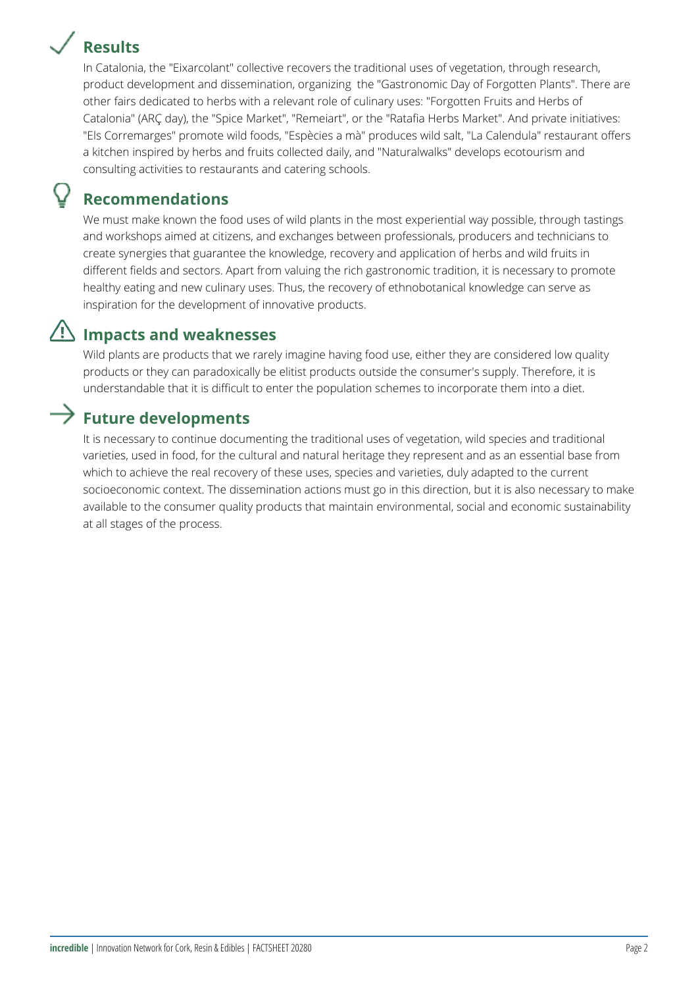## **Results**



In Catalonia, the "Eixarcolant" collective recovers the traditional uses of vegetation, through research, product development and dissemination, organizing the "Gastronomic Day of Forgotten Plants". There are other fairs dedicated to herbs with a relevant role of culinary uses: "Forgotten Fruits and Herbs of Catalonia" (ARÇ day), the "Spice Market", "Remeiart", or the "Ratafia Herbs Market". And private initiatives: "Els Corremarges" promote wild foods, "Espècies a mà" produces wild salt, "La Calendula" restaurant offers a kitchen inspired by herbs and fruits collected daily, and "Naturalwalks" develops ecotourism and consulting activities to restaurants and catering schools.

## **Recommendations**

We must make known the food uses of wild plants in the most experiential way possible, through tastings and workshops aimed at citizens, and exchanges between professionals, producers and technicians to create synergies that guarantee the knowledge, recovery and application of herbs and wild fruits in different fields and sectors. Apart from valuing the rich gastronomic tradition, it is necessary to promote healthy eating and new culinary uses. Thus, the recovery of ethnobotanical knowledge can serve as inspiration for the development of innovative products.

## **Impacts and weaknesses**

Wild plants are products that we rarely imagine having food use, either they are considered low quality products or they can paradoxically be elitist products outside the consumer's supply. Therefore, it is understandable that it is difficult to enter the population schemes to incorporate them into a diet.

## **Future developments**

It is necessary to continue documenting the traditional uses of vegetation, wild species and traditional varieties, used in food, for the cultural and natural heritage they represent and as an essential base from which to achieve the real recovery of these uses, species and varieties, duly adapted to the current socioeconomic context. The dissemination actions must go in this direction, but it is also necessary to make available to the consumer quality products that maintain environmental, social and economic sustainability at all stages of the process.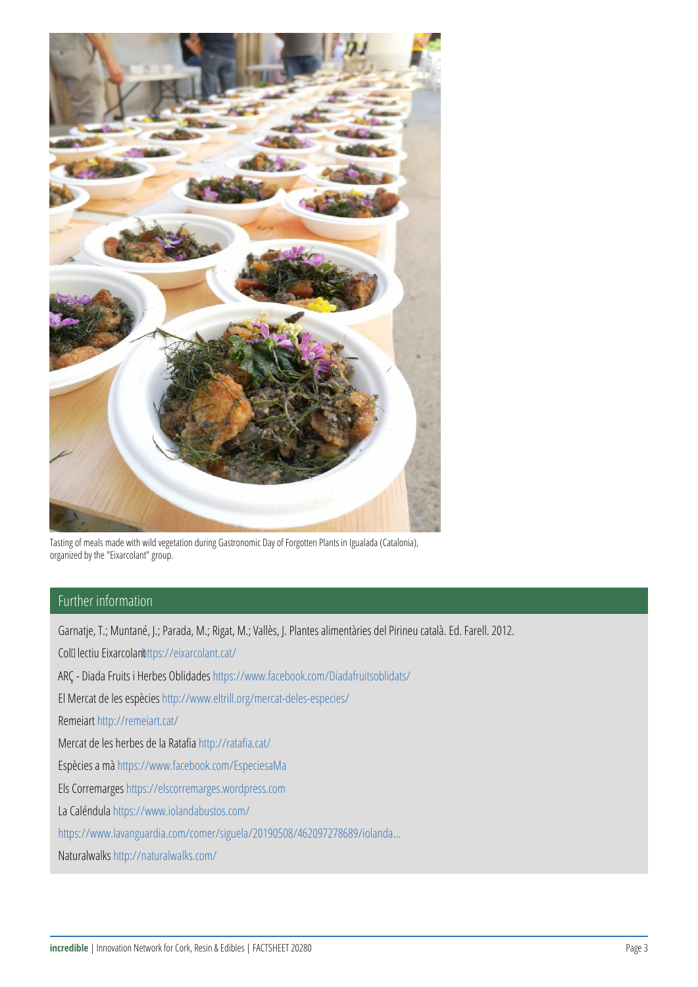

Tasting of meals made with wild vegetation during Gastronomic Day of Forgotten Plants in Igualada (Catalonia), organized by the "Eixarcolant" group.

## Further information

Garnatje, T.; Muntané, J.; Parada, M.; Rigat, M.; Vallès, J. Plantes alimentàries del Pirineu català. Ed. Farell. 2012. Col<sup>[</sup>lectiu Eixarcolant ttps://eixarcolant.cat/ ARÇ - Diada Fruits i Herbes Oblidades <https://www.facebook.com/Diadafruitsoblidats/> El Mercat de les espècies<http://www.eltrill.org/mercat-deles-especies/> Remeiart <http://remeiart.cat/> Mercat de les herbes de la Ratafia <http://ratafia.cat/> Espècies a mà<https://www.facebook.com/EspeciesaMa> Els Corremarges <https://elscorremarges.wordpress.com> La Caléndula<https://www.iolandabustos.com/> [https://www.lavanguardia.com/comer/siguela/20190508/462097278689/iolanda...](https://www.lavanguardia.com/comer/siguela/20190508/462097278689/iolanda-bustos-la-calendula-chef-restaurante-biodinamica.html) Naturalwalks <http://naturalwalks.com/>